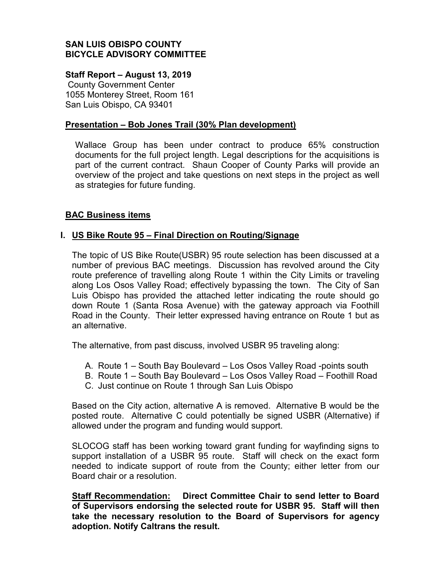## **SAN LUIS OBISPO COUNTY BICYCLE ADVISORY COMMITTEE**

#### **Staff Report – August 13, 2019**

County Government Center 1055 Monterey Street, Room 161 San Luis Obispo, CA 93401

#### **Presentation – Bob Jones Trail (30% Plan development)**

Wallace Group has been under contract to produce 65% construction documents for the full project length. Legal descriptions for the acquisitions is part of the current contract. Shaun Cooper of County Parks will provide an overview of the project and take questions on next steps in the project as well as strategies for future funding.

### **BAC Business items**

### **I. US Bike Route 95 – Final Direction on Routing/Signage**

The topic of US Bike Route(USBR) 95 route selection has been discussed at a number of previous BAC meetings. Discussion has revolved around the City route preference of travelling along Route 1 within the City Limits or traveling along Los Osos Valley Road; effectively bypassing the town. The City of San Luis Obispo has provided the attached letter indicating the route should go down Route 1 (Santa Rosa Avenue) with the gateway approach via Foothill Road in the County. Their letter expressed having entrance on Route 1 but as an alternative.

The alternative, from past discuss, involved USBR 95 traveling along:

- A. Route 1 South Bay Boulevard Los Osos Valley Road -points south
- B. Route 1 South Bay Boulevard Los Osos Valley Road Foothill Road
- C. Just continue on Route 1 through San Luis Obispo

Based on the City action, alternative A is removed. Alternative B would be the posted route. Alternative C could potentially be signed USBR (Alternative) if allowed under the program and funding would support.

SLOCOG staff has been working toward grant funding for wayfinding signs to support installation of a USBR 95 route. Staff will check on the exact form needed to indicate support of route from the County; either letter from our Board chair or a resolution.

**Staff Recommendation: Direct Committee Chair to send letter to Board of Supervisors endorsing the selected route for USBR 95. Staff will then take the necessary resolution to the Board of Supervisors for agency adoption. Notify Caltrans the result.**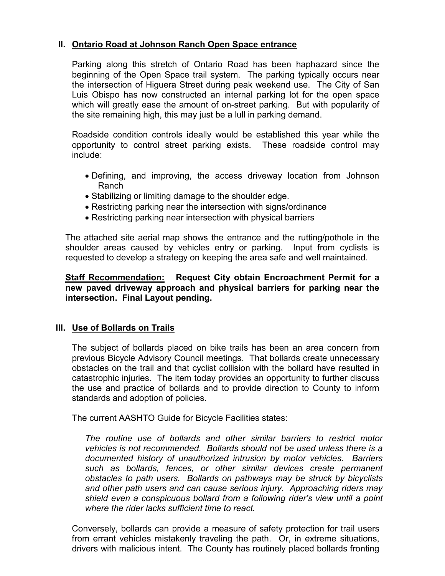# **II. Ontario Road at Johnson Ranch Open Space entrance**

Parking along this stretch of Ontario Road has been haphazard since the beginning of the Open Space trail system. The parking typically occurs near the intersection of Higuera Street during peak weekend use. The City of San Luis Obispo has now constructed an internal parking lot for the open space which will greatly ease the amount of on-street parking. But with popularity of the site remaining high, this may just be a lull in parking demand.

Roadside condition controls ideally would be established this year while the opportunity to control street parking exists. These roadside control may include:

- Defining, and improving, the access driveway location from Johnson Ranch
- Stabilizing or limiting damage to the shoulder edge.
- Restricting parking near the intersection with signs/ordinance
- Restricting parking near intersection with physical barriers

The attached site aerial map shows the entrance and the rutting/pothole in the shoulder areas caused by vehicles entry or parking. Input from cyclists is requested to develop a strategy on keeping the area safe and well maintained.

### **Staff Recommendation: Request City obtain Encroachment Permit for a new paved driveway approach and physical barriers for parking near the intersection. Final Layout pending.**

### **III. Use of Bollards on Trails**

The subject of bollards placed on bike trails has been an area concern from previous Bicycle Advisory Council meetings. That bollards create unnecessary obstacles on the trail and that cyclist collision with the bollard have resulted in catastrophic injuries. The item today provides an opportunity to further discuss the use and practice of bollards and to provide direction to County to inform standards and adoption of policies.

The current AASHTO Guide for Bicycle Facilities states:

*The routine use of bollards and other similar barriers to restrict motor vehicles is not recommended. Bollards should not be used unless there is a documented history of unauthorized intrusion by motor vehicles. Barriers such as bollards, fences, or other similar devices create permanent obstacles to path users. Bollards on pathways may be struck by bicyclists and other path users and can cause serious injury. Approaching riders may shield even a conspicuous bollard from a following rider's view until a point where the rider lacks sufficient time to react.*

Conversely, bollards can provide a measure of safety protection for trail users from errant vehicles mistakenly traveling the path. Or, in extreme situations, drivers with malicious intent. The County has routinely placed bollards fronting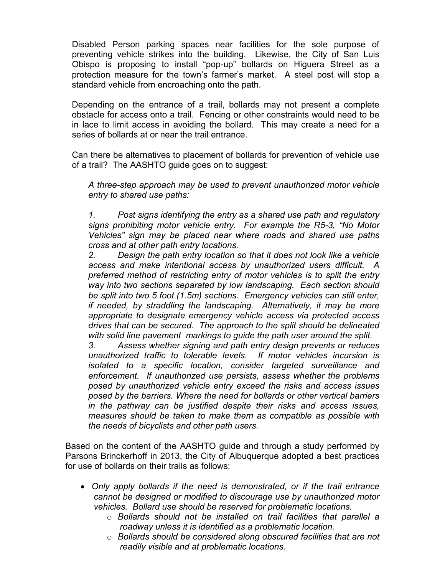Disabled Person parking spaces near facilities for the sole purpose of preventing vehicle strikes into the building. Likewise, the City of San Luis Obispo is proposing to install "pop-up" bollards on Higuera Street as a protection measure for the town's farmer's market. A steel post will stop a standard vehicle from encroaching onto the path.

Depending on the entrance of a trail, bollards may not present a complete obstacle for access onto a trail. Fencing or other constraints would need to be in lace to limit access in avoiding the bollard. This may create a need for a series of bollards at or near the trail entrance.

Can there be alternatives to placement of bollards for prevention of vehicle use of a trail? The AASHTO guide goes on to suggest:

*A three-step approach may be used to prevent unauthorized motor vehicle entry to shared use paths:*

*1. Post signs identifying the entry as a shared use path and regulatory signs prohibiting motor vehicle entry. For example the R5-3, "No Motor Vehicles" sign may be placed near where roads and shared use paths cross and at other path entry locations.*

*2. Design the path entry location so that it does not look like a vehicle access and make intentional access by unauthorized users difficult. A preferred method of restricting entry of motor vehicles is to split the entry way into two sections separated by low landscaping. Each section should be split into two 5 foot (1.5m) sections. Emergency vehicles can still enter, if needed, by straddling the landscaping. Alternatively, it may be more appropriate to designate emergency vehicle access via protected access drives that can be secured. The approach to the split should be delineated with solid line pavement markings to guide the path user around the split.*

*3. Assess whether signing and path entry design prevents or reduces unauthorized traffic to tolerable levels. If motor vehicles incursion is isolated to a specific location, consider targeted surveillance and enforcement. If unauthorized use persists, assess whether the problems posed by unauthorized vehicle entry exceed the risks and access issues posed by the barriers. Where the need for bollards or other vertical barriers in the pathway can be justified despite their risks and access issues, measures should be taken to make them as compatible as possible with the needs of bicyclists and other path users.*

Based on the content of the AASHTO guide and through a study performed by Parsons Brinckerhoff in 2013, the City of Albuquerque adopted a best practices for use of bollards on their trails as follows:

- *Only apply bollards if the need is demonstrated, or if the trail entrance cannot be designed or modified to discourage use by unauthorized motor vehicles. Bollard use should be reserved for problematic locations.*
	- o *Bollards should not be installed on trail facilities that parallel a roadway unless it is identified as a problematic location.*
	- o *Bollards should be considered along obscured facilities that are not readily visible and at problematic locations.*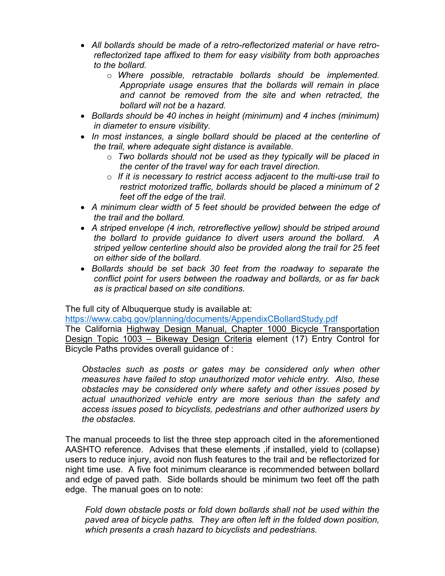- *All bollards should be made of a retro-reflectorized material or have retroreflectorized tape affixed to them for easy visibility from both approaches to the bollard.*
	- o *Where possible, retractable bollards should be implemented. Appropriate usage ensures that the bollards will remain in place and cannot be removed from the site and when retracted, the bollard will not be a hazard.*
- *Bollards should be 40 inches in height (minimum) and 4 inches (minimum) in diameter to ensure visibility.*
- *In most instances, a single bollard should be placed at the centerline of the trail, where adequate sight distance is available.*
	- o *Two bollards should not be used as they typically will be placed in the center of the travel way for each travel direction.*
	- o *If it is necessary to restrict access adjacent to the multi-use trail to restrict motorized traffic, bollards should be placed a minimum of 2 feet off the edge of the trail.*
- *A minimum clear width of 5 feet should be provided between the edge of the trail and the bollard.*
- *A striped envelope (4 inch, retroreflective yellow) should be striped around the bollard to provide guidance to divert users around the bollard. A striped yellow centerline should also be provided along the trail for 25 feet on either side of the bollard.*
- *Bollards should be set back 30 feet from the roadway to separate the conflict point for users between the roadway and bollards, or as far back as is practical based on site conditions.*

The full city of Albuquerque study is available at:

<https://www.cabq.gov/planning/documents/AppendixCBollardStudy.pdf>

The California Highway Design Manual, Chapter 1000 Bicycle Transportation Design Topic 1003 – Bikeway Design Criteria element (17) Entry Control for Bicycle Paths provides overall guidance of :

*Obstacles such as posts or gates may be considered only when other measures have failed to stop unauthorized motor vehicle entry. Also, these obstacles may be considered only where safety and other issues posed by actual unauthorized vehicle entry are more serious than the safety and access issues posed to bicyclists, pedestrians and other authorized users by the obstacles.*

The manual proceeds to list the three step approach cited in the aforementioned AASHTO reference. Advises that these elements ,if installed, yield to (collapse) users to reduce injury, avoid non flush features to the trail and be reflectorized for night time use. A five foot minimum clearance is recommended between bollard and edge of paved path. Side bollards should be minimum two feet off the path edge. The manual goes on to note:

*Fold down obstacle posts or fold down bollards shall not be used within the paved area of bicycle paths. They are often left in the folded down position, which presents a crash hazard to bicyclists and pedestrians.*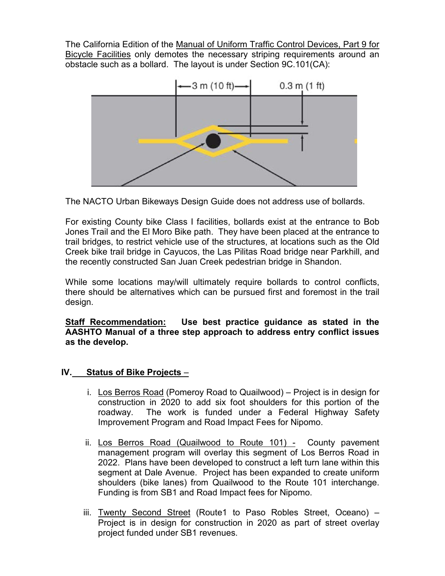The California Edition of the Manual of Uniform Traffic Control Devices, Part 9 for Bicycle Facilities only demotes the necessary striping requirements around an obstacle such as a bollard. The layout is under Section 9C.101(CA):



The NACTO Urban Bikeways Design Guide does not address use of bollards.

For existing County bike Class I facilities, bollards exist at the entrance to Bob Jones Trail and the El Moro Bike path. They have been placed at the entrance to trail bridges, to restrict vehicle use of the structures, at locations such as the Old Creek bike trail bridge in Cayucos, the Las Pilitas Road bridge near Parkhill, and the recently constructed San Juan Creek pedestrian bridge in Shandon.

While some locations may/will ultimately require bollards to control conflicts, there should be alternatives which can be pursued first and foremost in the trail design.

**Staff Recommendation: Use best practice guidance as stated in the AASHTO Manual of a three step approach to address entry conflict issues as the develop.**

# **IV. Status of Bike Projects** –

- i. Los Berros Road (Pomeroy Road to Quailwood) Project is in design for construction in 2020 to add six foot shoulders for this portion of the roadway. The work is funded under a Federal Highway Safety Improvement Program and Road Impact Fees for Nipomo.
- ii. Los Berros Road (Quailwood to Route 101) County pavement management program will overlay this segment of Los Berros Road in 2022. Plans have been developed to construct a left turn lane within this segment at Dale Avenue. Project has been expanded to create uniform shoulders (bike lanes) from Quailwood to the Route 101 interchange. Funding is from SB1 and Road Impact fees for Nipomo.
- iii. Twenty Second Street (Route1 to Paso Robles Street, Oceano) Project is in design for construction in 2020 as part of street overlay project funded under SB1 revenues.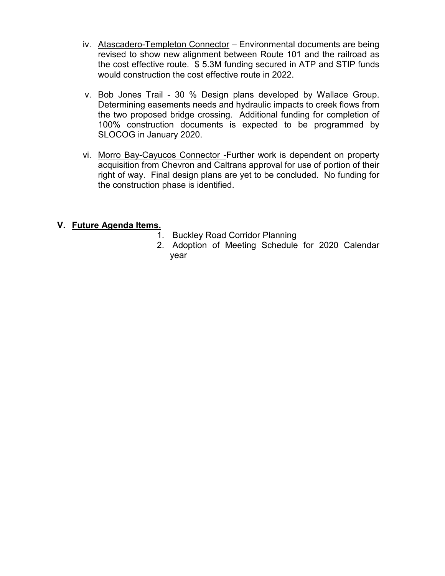- iv. Atascadero-Templeton Connector Environmental documents are being revised to show new alignment between Route 101 and the railroad as the cost effective route. \$ 5.3M funding secured in ATP and STIP funds would construction the cost effective route in 2022.
- v. Bob Jones Trail 30 % Design plans developed by Wallace Group. Determining easements needs and hydraulic impacts to creek flows from the two proposed bridge crossing. Additional funding for completion of 100% construction documents is expected to be programmed by SLOCOG in January 2020.
- vi. Morro Bay-Cayucos Connector -Further work is dependent on property acquisition from Chevron and Caltrans approval for use of portion of their right of way. Final design plans are yet to be concluded. No funding for the construction phase is identified.

## **V. Future Agenda Items.**

- 1. Buckley Road Corridor Planning
- 2. Adoption of Meeting Schedule for 2020 Calendar year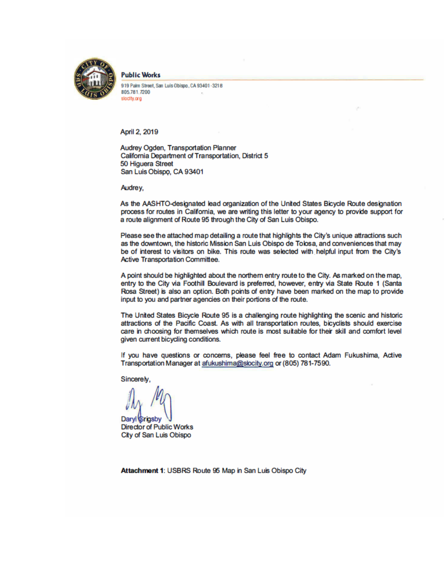

**Public Works** 

919 Palm Street, San Luis Obispo, CA 93401-3218 805.781.7200 slocity.org

April 2, 2019

Audrey Ogden, Transportation Planner California Department of Transportation, District 5 50 Higuera Street San Luis Obispo, CA 93401

Audrey,

As the AASHTO-designated lead organization of the United States Bicycle Route designation process for routes in California, we are writing this letter to your agency to provide support for a route alignment of Route 95 through the City of San Luis Obispo.

Please see the attached map detailing a route that highlights the City's unique attractions such as the downtown, the historic Mission San Luis Obispo de Tolosa, and conveniences that may be of interest to visitors on bike. This route was selected with helpful input from the City's Active Transportation Committee.

A point should be highlighted about the northern entry route to the City. As marked on the map, entry to the City via Foothill Boulevard is preferred, however, entry via State Route 1 (Santa Rosa Street) is also an option. Both points of entry have been marked on the map to provide input to you and partner agencies on their portions of the route.

The United States Bicycle Route 95 is a challenging route highlighting the scenic and historic attractions of the Pacific Coast. As with all transportation routes, bicyclists should exercise care in choosing for themselves which route is most suitable for their skill and comfort level given current bicycling conditions.

If you have questions or concerns, please feel free to contact Adam Fukushima, Active Transportation Manager at afukushima@slocity.org or (805) 781-7590.

Sincerely,

Daryl *Srigsby* **Director of Public Works** City of San Luis Obispo

Attachment 1: USBRS Route 95 Map in San Luis Obispo City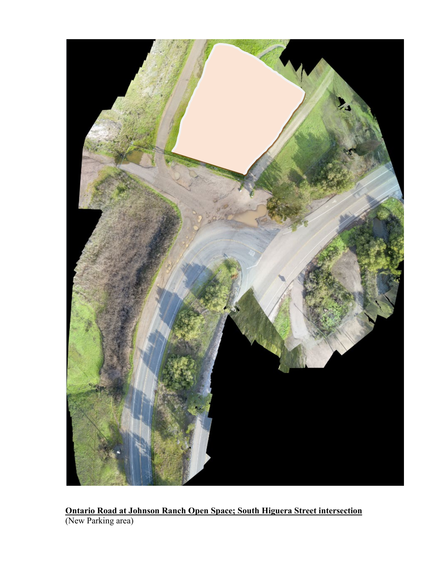

**Ontario Road at Johnson Ranch Open Space; South Higuera Street intersection** (New Parking area)